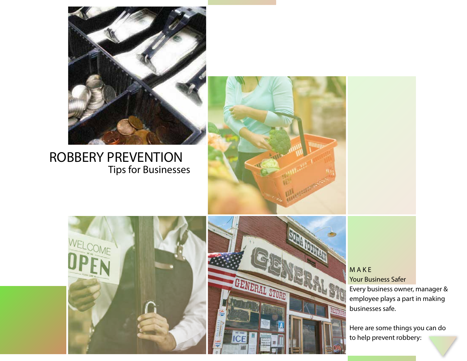

## ROBBERY PREVENTION Tips for Businesses







M A K E Your Business Safer Every business owner, manager & employee plays a part in making businesses safe.

Here are some things you can do to help prevent robbery: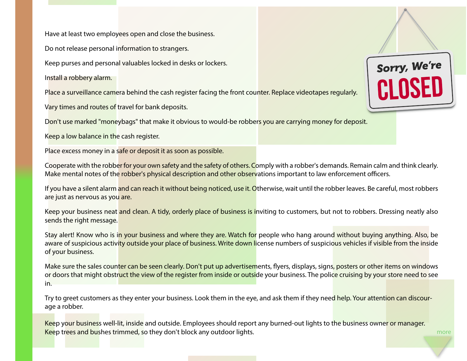Have at least two employees open and close the business.

Do not release personal information to strangers.

Keep purses and personal valuables locked in desks or lockers.

Install a robbery alarm.

Place a surveillance camera behind the cash register facing the front counter. Replace videotapes regularly.

Vary times and routes of travel for bank deposits.

Don't use marked "moneybags" that make it obvious to would-be robbers you are carrying money for deposit.

Keep a low balance in the cash register.

Place excess money in a safe or deposit it as soon as possible.

Cooperate with the robber for your own safety and the safety of others. Comply with a robber's demands. Remain calm and think clearly. Make mental notes of the robber's physical description and other observations important to law enforcement officers.

If you have a silent alarm and can reach it without being noticed, use it. Otherwise, wait until the robber leaves. Be careful, most robbers are just as nervous as you are.

Keep your business neat and clean. A tidy, orderly place of business is inviting to customers, but not to robbers. Dressing neatly also sends the right message.

Stay alert! Know who is in your business and where they are. Watch for people who hang around without buying anything. Also, be aware of suspicious activity outside your place of business. Write down license numbers of suspicious vehicles if visible from the inside of your business.

Make sure the sales counter can be seen clearly. Don't put up advertisements, flyers, displays, signs, posters or other items on windows or doors that might obstruct the view of the register from inside or outside your business. The police cruising by your store need to see in.

Try to greet customers as they enter your business. Look them in the eye, and ask them if they need help. Your attention can discourage a robber.

Keep your business well-lit, inside and outside. Employees should report any burned-out lights to the business owner or manager. Keep trees and bushes trimmed, so they don't block any outdoor lights.



more